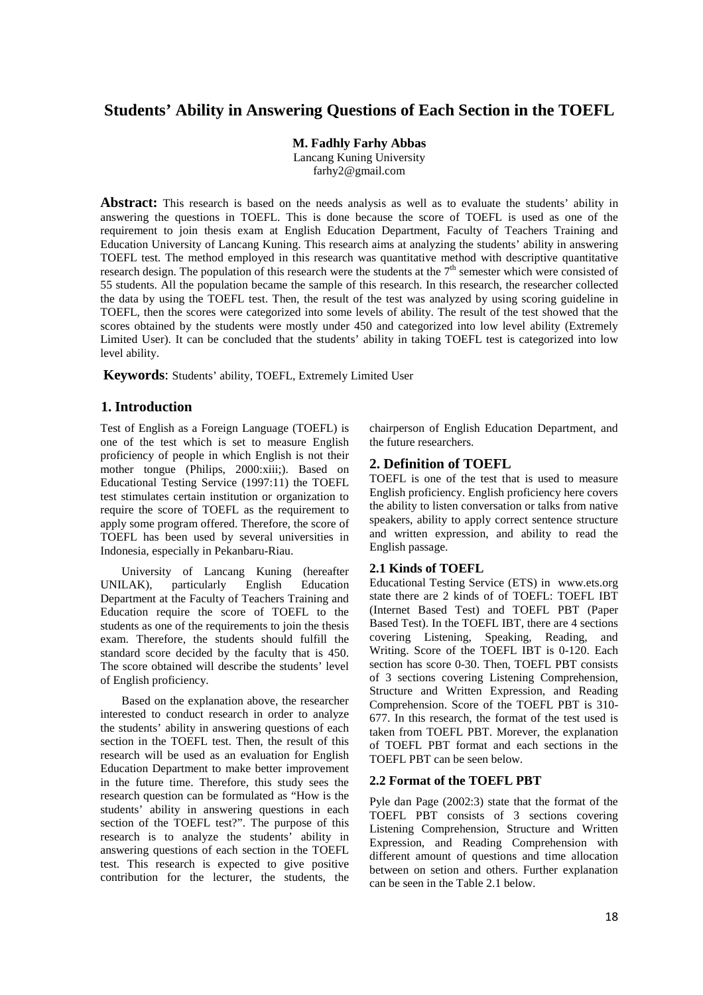# **Students' Ability in Answering Questions of Each Section in the TOEFL**

**M. Fadhly Farhy Abbas**

Lancang Kuning University farhy2@gmail.com

Abstract: This research is based on the needs analysis as well as to evaluate the students' ability in answering the questions in TOEFL. This is done because the score of TOEFL is used as one of the requirement to join thesis exam at English Education Department, Faculty of Teachers Training and Education University of Lancang Kuning. This research aims at analyzing the students' ability in answering TOEFL test. The method employed in this research was quantitative method with descriptive quantitative research design. The population of this research were the students at the  $7<sup>th</sup>$  semester which were consisted of 55 students. All the population became the sample of this research. In this research, the researcher collected the data by using the TOEFL test. Then, the result of the test was analyzed by using scoring guideline in TOEFL, then the scores were categorized into some levels of ability. The result of the test showed that the scores obtained by the students were mostly under 450 and categorized into low level ability (Extremely Limited User). It can be concluded that the students' ability in taking TOEFL test is categorized into low level ability.

**Keywords**: Students' ability, TOEFL, Extremely Limited User

## **1. Introduction**

Test of English as a Foreign Language (TOEFL) is one of the test which is set to measure English proficiency of people in which English is not their mother tongue (Philips, 2000:xiii;). Based on Educational Testing Service (1997:11) the TOEFL test stimulates certain institution or organization to require the score of TOEFL as the requirement to apply some program offered. Therefore, the score of TOEFL has been used by several universities in Indonesia, especially in Pekanbaru-Riau.

University of Lancang Kuning (hereafter UNILAK), particularly English Education Department at the Faculty of Teachers Training and Education require the score of TOEFL to the students as one of the requirements to join the thesis exam. Therefore, the students should fulfill the standard score decided by the faculty that is 450. The score obtained will describe the students' level of English proficiency.

Based on the explanation above, the researcher interested to conduct research in order to analyze the students' ability in answering questions of each section in the TOEFL test. Then, the result of this research will be used as an evaluation for English Education Department to make better improvement in the future time. Therefore, this study sees the research question can be formulated as "How is the students' ability in answering questions in each section of the TOEFL test?". The purpose of this research is to analyze the students' ability in answering questions of each section in the TOEFL test. This research is expected to give positive contribution for the lecturer, the students, the

chairperson of English Education Department, and the future researchers.

## **2. Definition of TOEFL**

TOEFL is one of the test that is used to measure English proficiency. English proficiency here covers the ability to listen conversation or talks from native speakers, ability to apply correct sentence structure and written expression, and ability to read the English passage.

## **2.1 Kinds of TOEFL**

Educational Testing Service (ETS) in www.ets.org state there are 2 kinds of of TOEFL: TOEFL IBT (Internet Based Test) and TOEFL PBT (Paper Based Test). In the TOEFL IBT, there are 4 sections covering Listening, Speaking, Reading, and Writing. Score of the TOEFL IBT is 0-120. Each section has score 0-30. Then, TOEFL PBT consists of 3 sections covering Listening Comprehension, Structure and Written Expression, and Reading Comprehension. Score of the TOEFL PBT is 310- 677. In this research, the format of the test used is taken from TOEFL PBT. Morever, the explanation of TOEFL PBT format and each sections in the TOEFL PBT can be seen below.

## **2.2 Format of the TOEFL PBT**

Pyle dan Page (2002:3) state that the format of the TOEFL PBT consists of 3 sections covering Listening Comprehension, Structure and Written Expression, and Reading Comprehension with different amount of questions and time allocation between on setion and others. Further explanation can be seen in the Table 2.1 below.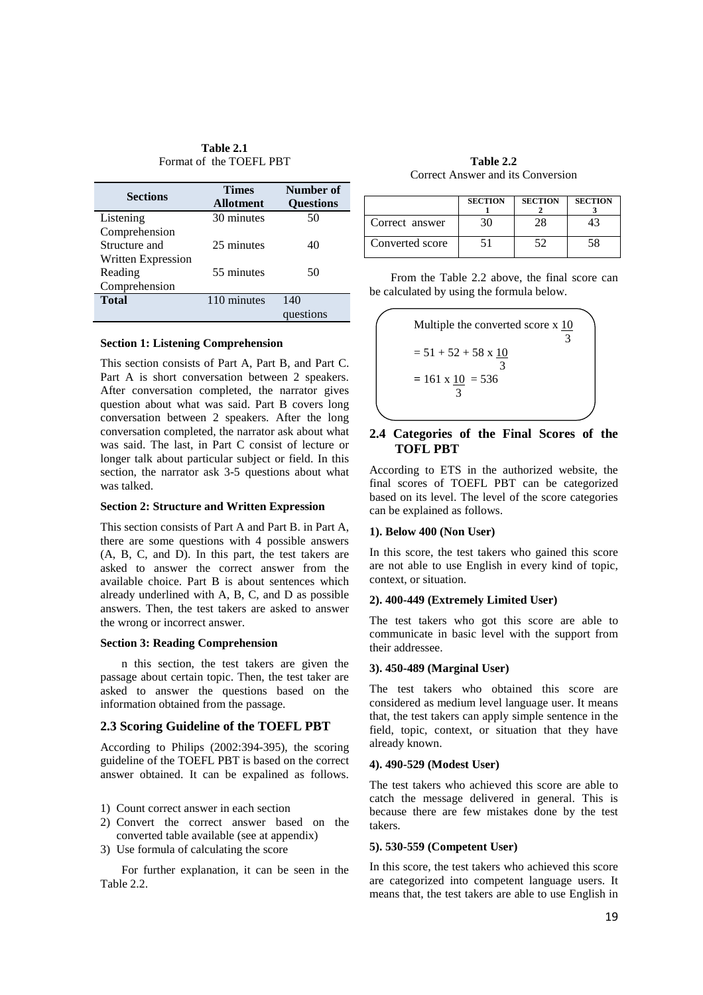**Table 2.1** Format of the TOEFL PBT

| <b>Sections</b>    | <b>Times</b><br>Allotment | Number of<br><b>Questions</b> |
|--------------------|---------------------------|-------------------------------|
| Listening          | 30 minutes                | 50                            |
| Comprehension      |                           |                               |
| Structure and      | 25 minutes                | 40                            |
| Written Expression |                           |                               |
| Reading            | 55 minutes                | 50                            |
| Comprehension      |                           |                               |
| <b>Total</b>       | 110 minutes               | 140                           |
|                    |                           | questions                     |

#### **Section 1: Listening Comprehension**

This section consists of Part A, Part B, and Part C. Part A is short conversation between 2 speakers. After conversation completed, the narrator gives question about what was said. Part B covers long conversation between 2 speakers. After the long conversation completed, the narrator ask about what was said. The last, in Part C consist of lecture or longer talk about particular subject or field. In this section, the narrator ask 3-5 questions about what was talked.

#### **Section 2: Structure and Written Expression**

This section consists of Part A and Part B. in Part A, there are some questions with 4 possible answers (A, B, C, and D). In this part, the test takers are asked to answer the correct answer from the available choice. Part B is about sentences which already underlined with A, B, C, and D as possible answers. Then, the test takers are asked to answer the wrong or incorrect answer.

#### **Section 3: Reading Comprehension**

n this section, the test takers are given the passage about certain topic. Then, the test taker are asked to answer the questions based on the information obtained from the passage.

#### **2.3 Scoring Guideline of the TOEFL PBT**

According to Philips (2002:394-395), the scoring guideline of the TOEFL PBT is based on the correct answer obtained. It can be expalined as follows.

- 1) Count correct answer in each section
- 2) Convert the correct answer based on the converted table available (see at appendix)
- 3) Use formula of calculating the score

For further explanation, it can be seen in the Table 2.2.

**Table 2.2** Correct Answer and its Conversion

|                 | <b>SECTION</b> | <b>SECTION</b> | <b>SECTION</b> |
|-----------------|----------------|----------------|----------------|
| Correct answer  | 3O)            |                |                |
| Converted score |                |                | 58             |

From the Table 2.2 above, the final score can be calculated by using the formula below.



### **2.4 Categories of the Final Scores of the TOFL PBT**

According to ETS in the authorized website, the final scores of TOEFL PBT can be categorized based on its level. The level of the score categories can be explained as follows.

#### **1). Below 400 (Non User)**

In this score, the test takers who gained this score are not able to use English in every kind of topic, context, or situation.

#### **2). 400-449 (Extremely Limited User)**

The test takers who got this score are able to communicate in basic level with the support from their addressee.

## **3). 450-489 (Marginal User)**

The test takers who obtained this score are considered as medium level language user. It means that, the test takers can apply simple sentence in the field, topic, context, or situation that they have already known.

## **4). 490-529 (Modest User)**

The test takers who achieved this score are able to catch the message delivered in general. This is because there are few mistakes done by the test takers.

#### **5). 530-559 (Competent User)**

In this score, the test takers who achieved this score are categorized into competent language users. It means that, the test takers are able to use English in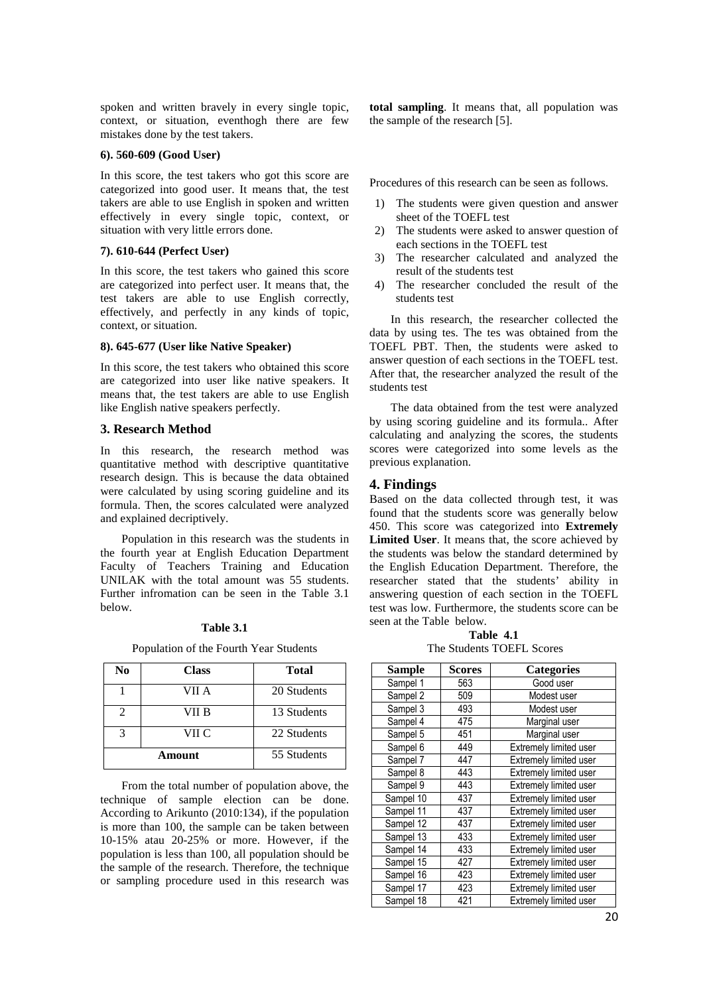spoken and written bravely in every single topic, context, or situation, eventhogh there are few mistakes done by the test takers.

#### **6). 560-609 (Good User)**

In this score, the test takers who got this score are categorized into good user. It means that, the test takers are able to use English in spoken and written effectively in every single topic, context, or situation with very little errors done.

#### **7). 610-644 (Perfect User)**

In this score, the test takers who gained this score are categorized into perfect user. It means that, the test takers are able to use English correctly, effectively, and perfectly in any kinds of topic, context, or situation.

#### **8). 645-677 (User like Native Speaker)**

In this score, the test takers who obtained this score are categorized into user like native speakers. It means that, the test takers are able to use English like English native speakers perfectly.

#### **3. Research Method**

In this research, the research method was quantitative method with descriptive quantitative research design. This is because the data obtained were calculated by using scoring guideline and its formula. Then, the scores calculated were analyzed and explained decriptively.

Population in this research was the students in the fourth year at English Education Department Faculty of Teachers Training and Education UNILAK with the total amount was 55 students. Further infromation can be seen in the Table 3.1 below.

### **Table 3.1**

Population of the Fourth Year Students

| No     | <b>Class</b> | <b>Total</b> |
|--------|--------------|--------------|
|        | VII A        | 20 Students  |
| 2      | VII B        | 13 Students  |
| 3      | VII C        | 22 Students  |
| Amount |              | 55 Students  |

From the total number of population above, the technique of sample election can be done. According to Arikunto (2010:134), if the population is more than 100, the sample can be taken between 10-15% atau 20-25% or more. However, if the population is less than 100, all population should be the sample of the research. Therefore, the technique or sampling procedure used in this research was

**total sampling**. It means that, all population was the sample of the research [5].

Procedures of this research can be seen as follows.

- 1) The students were given question and answer sheet of the TOEFL test
- 2) The students were asked to answer question of each sections in the TOEFL test
- 3) The researcher calculated and analyzed the result of the students test
- 4) The researcher concluded the result of the students test

In this research, the researcher collected the data by using tes. The tes was obtained from the TOEFL PBT. Then, the students were asked to answer question of each sections in the TOEFL test. After that, the researcher analyzed the result of the students test

The data obtained from the test were analyzed by using scoring guideline and its formula.. After calculating and analyzing the scores, the students scores were categorized into some levels as the previous explanation.

## **4. Findings**

Based on the data collected through test, it was found that the students score was generally below 450. This score was categorized into **Extremely Limited User**. It means that, the score achieved by the students was below the standard determined by the English Education Department. Therefore, the researcher stated that the students' ability in answering question of each section in the TOEFL test was low. Furthermore, the students score can be seen at the Table below.

**Table 4.1** The Students TOEFL Scores

| Sample    | Scores | <b>Categories</b>             |
|-----------|--------|-------------------------------|
| Sampel 1  | 563    | Good user                     |
| Sampel 2  | 509    | Modest user                   |
| Sampel 3  | 493    | Modest user                   |
| Sampel 4  | 475    | Marginal user                 |
| Sampel 5  | 451    | Marginal user                 |
| Sampel 6  | 449    | Extremely limited user        |
| Sampel 7  | 447    | Extremely limited user        |
| Sampel 8  | 443    | Extremely limited user        |
| Sampel 9  | 443    | Extremely limited user        |
| Sampel 10 | 437    | Extremely limited user        |
| Sampel 11 | 437    | <b>Extremely limited user</b> |
| Sampel 12 | 437    | Extremely limited user        |
| Sampel 13 | 433    | Extremely limited user        |
| Sampel 14 | 433    | Extremely limited user        |
| Sampel 15 | 427    | Extremely limited user        |
| Sampel 16 | 423    | Extremely limited user        |
| Sampel 17 | 423    | Extremely limited user        |
| Sampel 18 | 421    | Extremely limited user        |